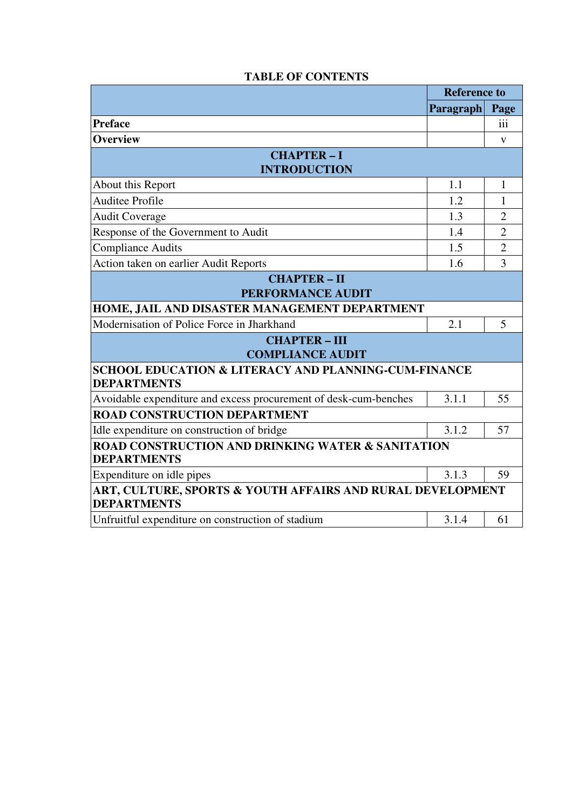|                                                                                       | <b>Reference to</b> |                |  |  |
|---------------------------------------------------------------------------------------|---------------------|----------------|--|--|
|                                                                                       | Paragraph           | Page           |  |  |
| <b>Preface</b>                                                                        |                     | iii            |  |  |
| <b>Overview</b>                                                                       |                     | V              |  |  |
| <b>CHAPTER-I</b>                                                                      |                     |                |  |  |
| <b>INTRODUCTION</b>                                                                   |                     |                |  |  |
| About this Report                                                                     | 1.1                 | 1              |  |  |
| <b>Auditee Profile</b>                                                                | 1.2                 | 1              |  |  |
| <b>Audit Coverage</b>                                                                 | 1.3                 | $\overline{2}$ |  |  |
| Response of the Government to Audit                                                   | 1.4                 | $\overline{2}$ |  |  |
| <b>Compliance Audits</b>                                                              | 1.5                 | $\overline{2}$ |  |  |
| Action taken on earlier Audit Reports                                                 | 1.6                 | 3              |  |  |
| <b>CHAPTER-II</b>                                                                     |                     |                |  |  |
| <b>PERFORMANCE AUDIT</b>                                                              |                     |                |  |  |
| HOME, JAIL AND DISASTER MANAGEMENT DEPARTMENT                                         |                     |                |  |  |
| Modernisation of Police Force in Jharkhand                                            | 2.1                 | 5              |  |  |
| <b>CHAPTER-III</b>                                                                    |                     |                |  |  |
| <b>COMPLIANCE AUDIT</b>                                                               |                     |                |  |  |
| <b>SCHOOL EDUCATION &amp; LITERACY AND PLANNING-CUM-FINANCE</b><br><b>DEPARTMENTS</b> |                     |                |  |  |
| Avoidable expenditure and excess procurement of desk-cum-benches                      | 3.1.1               | 55             |  |  |
| <b>ROAD CONSTRUCTION DEPARTMENT</b>                                                   |                     |                |  |  |
| Idle expenditure on construction of bridge                                            | 3.1.2               | 57             |  |  |
| <b>ROAD CONSTRUCTION AND DRINKING WATER &amp; SANITATION</b><br><b>DEPARTMENTS</b>    |                     |                |  |  |
| Expenditure on idle pipes                                                             | 3.1.3               | 59             |  |  |
| ART, CULTURE, SPORTS & YOUTH AFFAIRS AND RURAL DEVELOPMENT<br><b>DEPARTMENTS</b>      |                     |                |  |  |
| Unfruitful expenditure on construction of stadium                                     | 3.1.4               | 61             |  |  |

## **TABLE OF CONTENTS**